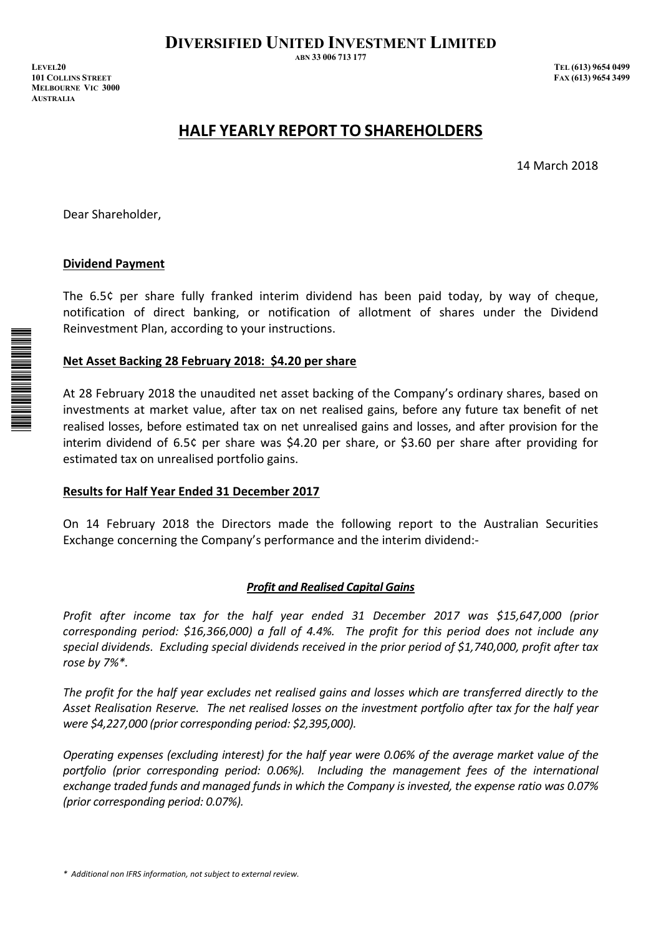**DIVERSIFIED UNITED INVESTMENT LIMITED** 

**ABN 33 006 713 177** 

*IEVEL20 TEL (613) 9654 0499 <i>TEL (613) 9654 0499* **EXX (613) 9654 3499 EXX (613) 9654 3499 MELBOURNE VIC 3000 AUSTRALIA** 

# **HALF YEARLY REPORT TO SHAREHOLDERS**

14 March 2018

Dear Shareholder,

# **Dividend Payment**

The 6.5¢ per share fully franked interim dividend has been paid today, by way of cheque, notification of direct banking, or notification of allotment of shares under the Dividend Reinvestment Plan, according to your instructions.

# **Net Asset Backing 28 February 2018:\$4.20 per share**

At 28 February 2018 the unaudited net asset backing of the Company's ordinary shares, based on investments at market value, after tax on net realised gains, before any future tax benefit of net realised losses, before estimated tax on net unrealised gains and losses, and after provision for the interim dividend of 6.5¢ per share was \$4.20 per share, or \$3.60 per share after providing for estimated tax on unrealised portfolio gains.

# **Results for Half Year Ended 31 December 2017**

On 14 February 2018 the Directors made the following report to the Australian Securities Exchange concerning the Company's performance and the interim dividend:-

# *Profit and Realised Capital Gains*

*Profit after income tax for the half year ended 31 December 2017 was \$15,647,000 (prior corresponding period: \$16,366,000) a fall of 4.4%. The profit for this period does not include any special dividends.Excluding special dividends received in the prior period of \$1,740,000, profit after tax rose by 7%\*.*

The profit for the half year excludes net realised gains and losses which are transferred directly to the *Asset Realisation Reserve.The net realised losses on the investment portfolio after tax for the half year were \$4,227,000 (prior corresponding period: \$2,395,000).*

*Operating expenses (excluding interest) for the half year were 0.06% of the average market value of the portfolio (prior corresponding period: 0.06%). Including the management fees of the international exchange traded funds and managed funds in which the Company is invested, the expense ratio was 0.07% (prior corresponding period: 0.07%).*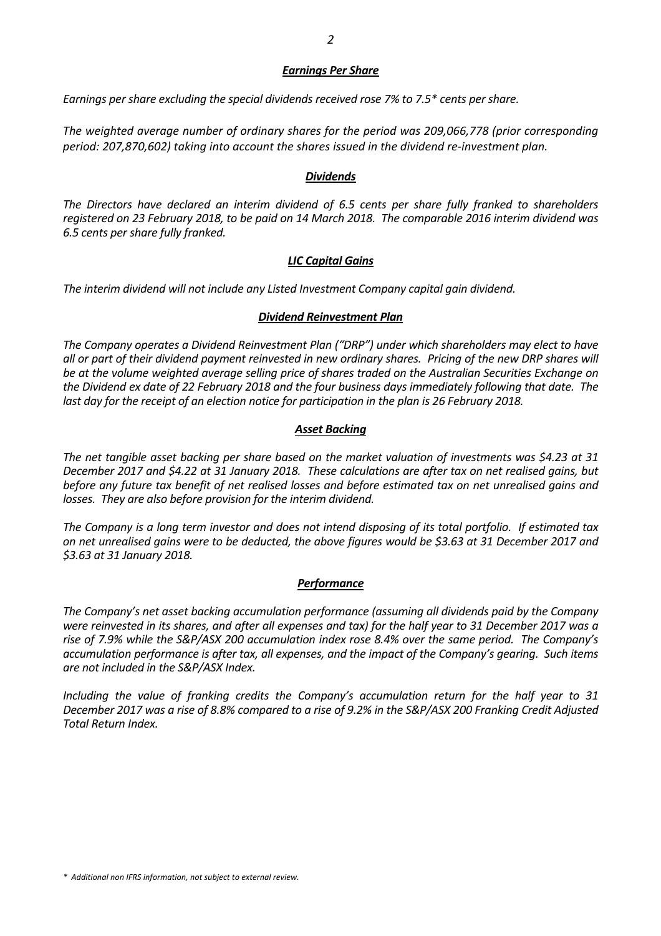#### *Earnings Per Share*

*Earnings per share excluding the special dividends received rose 7% to 7.5\* cents per share.*

*The weighted average number of ordinary shares for the period was 209,066,778 (prior corresponding period: 207,870,602) taking into account the shares issued in the dividend reͲinvestment plan.*

## *Dividends*

*The Directors have declared an interim dividend of 6.5 cents per share fully franked to shareholders* registered on 23 February 2018, to be paid on 14 March 2018. The comparable 2016 interim dividend was *6.5 cents per share fully franked.*

## *LIC Capital Gains*

*The interim dividend will not include any Listed Investment Company capital gain dividend.*

#### *Dividend Reinvestment Plan*

*The Company operates a Dividend Reinvestment Plan ("DRP") under which shareholders may elect to have* all or part of their dividend payment reinvested in new ordinary shares. Pricing of the new DRP shares will *be at the volume weighted average selling price of shares traded on the Australian Securities Exchange on* the Dividend ex date of 22 February 2018 and the four business days immediately following that date. The *last day for the receipt of an election notice for participation in the plan is 26 February 2018.*

## *Asset Backing*

The net tangible asset backing per share based on the market valuation of investments was \$4.23 at 31 December 2017 and \$4.22 at 31 January 2018. These calculations are after tax on net realised gains, but before any future tax benefit of net realised losses and before estimated tax on net unrealised gains and *losses.They are also before provision for the interim dividend.*

The Company is a long term investor and does not intend disposing of its total portfolio. If estimated tax on net unrealised gains were to be deducted, the above figures would be \$3.63 at 31 December 2017 and *\$3.63 at 31 January 2018.*

#### *Performance*

*The Company's net asset backing accumulation performance (assuming all dividends paid by the Company* were reinvested in its shares, and after all expenses and tax) for the half year to 31 December 2017 was a *rise of 7.9% while the S&P/ASX 200 accumulation index rose 8.4% over the same period.The Company's accumulation performance is after tax, all expenses, and the impact of the Company's gearing.Such items are not included in the S&P/ASX Index.*

*Including the value of franking credits the Company's accumulation return for the half year to 31* December 2017 was a rise of 8.8% compared to a rise of 9.2% in the S&P/ASX 200 Franking Credit Adjusted *Total Return Index.*

*\*Additional non IFRS information, not subject to external review.*